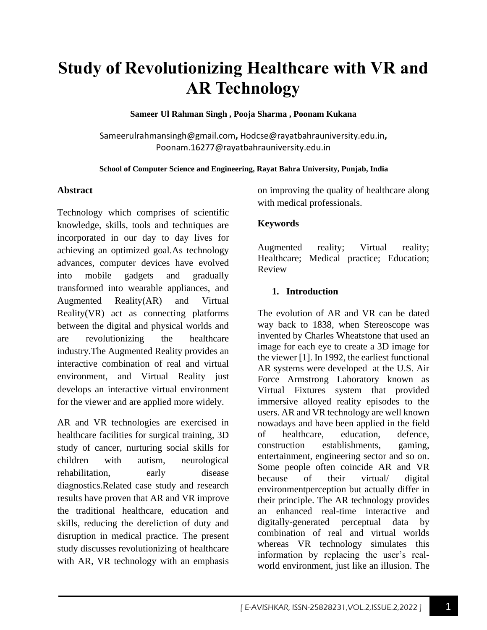# **Study of Revolutionizing Healthcare with VR and AR Technology**

**Sameer Ul Rahman Singh , Pooja Sharma , Poonam Kukana**

Sameerulrahmansingh@gmail.com**,** Hodcse@rayatbahrauniversity.edu.in**,**  Poonam.16277@rayatbahrauniversity.edu.in

#### **School of Computer Science and Engineering, Rayat Bahra University, Punjab, India**

#### **Abstract**

Technology which comprises of scientific knowledge, skills, tools and techniques are incorporated in our day to day lives for achieving an optimized goal.As technology advances, computer devices have evolved into mobile gadgets and gradually transformed into wearable appliances, and Augmented Reality(AR) and Virtual Reality(VR) act as connecting platforms between the digital and physical worlds and are revolutionizing the healthcare industry.The Augmented Reality provides an interactive combination of real and virtual environment, and Virtual Reality just develops an interactive virtual environment for the viewer and are applied more widely.

AR and VR technologies are exercised in healthcare facilities for surgical training, 3D study of cancer, nurturing social skills for children with autism, neurological rehabilitation, early disease diagnostics.Related case study and research results have proven that AR and VR improve the traditional healthcare, education and skills, reducing the dereliction of duty and disruption in medical practice. The present study discusses revolutionizing of healthcare with AR, VR technology with an emphasis

on improving the quality of healthcare along with medical professionals.

#### **Keywords**

Augmented reality; Virtual reality; Healthcare; Medical practice; Education; Review

#### **1. Introduction**

The evolution of AR and VR can be dated way back to 1838, when Stereoscope was invented by Charles Wheatstone that used an image for each eye to create a 3D image for the viewer [1]. In 1992, the earliest functional AR systems were developed at the U.S. Air Force Armstrong Laboratory known as Virtual Fixtures system that provided immersive alloyed reality episodes to the users. AR and VR technology are well known nowadays and have been applied in the field of healthcare, education, defence, construction establishments, gaming, entertainment, engineering sector and so on. Some people often coincide AR and VR because of their virtual/ digital environmentperception but actually differ in their principle. The AR technology provides an enhanced real-time interactive and digitally-generated perceptual data by combination of real and virtual worlds whereas VR technology simulates this information by replacing the user's realworld environment, just like an illusion. The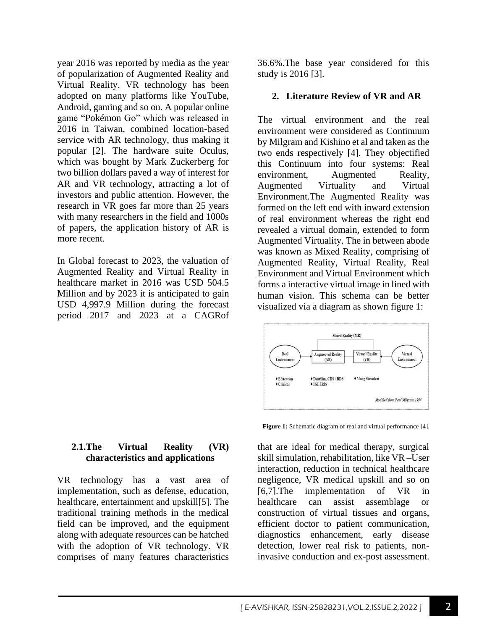year 2016 was reported by media as the year of popularization of Augmented Reality and Virtual Reality. VR technology has been adopted on many platforms like YouTube, Android, gaming and so on. A popular online game "Pokémon Go" which was released in 2016 in Taiwan, combined location-based service with AR technology, thus making it popular [2]. The hardware suite Oculus, which was bought by Mark Zuckerberg for two billion dollars paved a way of interest for AR and VR technology, attracting a lot of investors and public attention. However, the research in VR goes far more than 25 years with many researchers in the field and 1000s of papers, the application history of AR is more recent.

In Global forecast to 2023, the valuation of Augmented Reality and Virtual Reality in healthcare market in 2016 was USD 504.5 Million and by 2023 it is anticipated to gain USD 4,997.9 Million during the forecast period 2017 and 2023 at a CAGRof

#### **2.1.The Virtual Reality (VR) characteristics and applications**

VR technology has a vast area of implementation, such as defense, education, healthcare, entertainment and upskill[5]. The traditional training methods in the medical field can be improved, and the equipment along with adequate resources can be hatched with the adoption of VR technology. VR comprises of many features characteristics 36.6%.The base year considered for this study is 2016 [3].

#### **2. Literature Review of VR and AR**

The virtual environment and the real environment were considered as Continuum by Milgram and Kishino et al and taken as the two ends respectively [4]. They objectified this Continuum into four systems: Real environment, Augmented Reality, Augmented Virtuality and Virtual Environment.The Augmented Reality was formed on the left end with inward extension of real environment whereas the right end revealed a virtual domain, extended to form Augmented Virtuality. The in between abode was known as Mixed Reality, comprising of Augmented Reality, Virtual Reality, Real Environment and Virtual Environment which forms a interactive virtual image in lined with human vision. This schema can be better visualized via a diagram as shown figure 1:



**Figure 1:** Schematic diagram of real and virtual performance [4].

that are ideal for medical therapy, surgical skill simulation, rehabilitation, like VR –User interaction, reduction in technical healthcare negligence, VR medical upskill and so on [6,7].The implementation of VR in healthcare can assist assemblage or construction of virtual tissues and organs, efficient doctor to patient communication, diagnostics enhancement, early disease detection, lower real risk to patients, noninvasive conduction and ex-post assessment.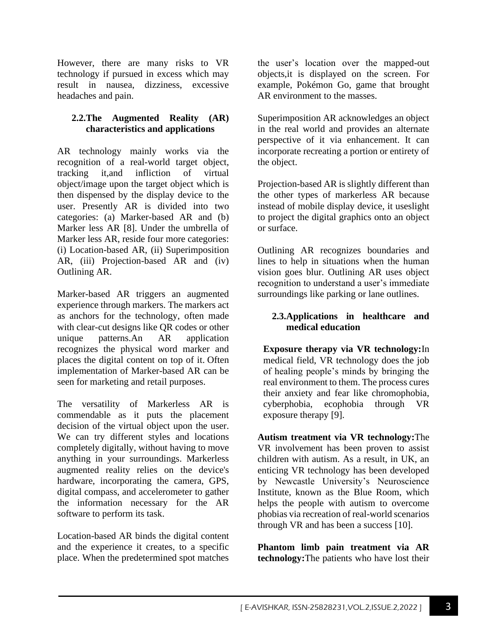However, there are many risks to VR technology if pursued in excess which may result in nausea, dizziness, excessive headaches and pain.

## **2.2.The Augmented Reality (AR) characteristics and applications**

AR technology mainly works via the recognition of a real-world target object, tracking it,and infliction of virtual object/image upon the target object which is then dispensed by the display device to the user. Presently AR is divided into two categories: (a) Marker-based AR and (b) Marker less AR [8]. Under the umbrella of Marker less AR, reside four more categories: (i) Location-based AR, (ii) Superimposition AR, (iii) Projection-based AR and (iv) Outlining AR.

Marker-based AR triggers an augmented experience through markers. The markers act as anchors for the technology, often made with clear-cut designs like QR codes or other unique patterns.An AR application recognizes the physical word marker and places the digital content on top of it. Often implementation of Marker-based AR can be seen for marketing and retail purposes.

The versatility of Markerless AR is commendable as it puts the placement decision of the virtual object upon the user. We can try different styles and locations completely digitally, without having to move anything in your surroundings. Markerless augmented reality relies on the device's hardware, incorporating the camera, GPS, digital compass, and accelerometer to gather the information necessary for the AR software to perform its task.

Location-based AR binds the digital content and the experience it creates, to a specific place. When the predetermined spot matches the user's location over the mapped-out objects,it is displayed on the screen. For example, Pokémon Go, game that brought AR environment to the masses.

Superimposition AR acknowledges an object in the real world and provides an alternate perspective of it via enhancement. It can incorporate recreating a portion or entirety of the object.

Projection-based AR is slightly different than the other types of markerless AR because instead of mobile display device, it useslight to project the digital graphics onto an object or surface.

Outlining AR recognizes boundaries and lines to help in situations when the human vision goes blur. Outlining AR uses object recognition to understand a user's immediate surroundings like parking or lane outlines.

## **2.3.Applications in healthcare and medical education**

**Exposure therapy via VR technology:**In medical field, VR technology does the job of healing people's minds by bringing the real environment to them. The process cures their anxiety and fear like chromophobia, cyberphobia, ecophobia through VR exposure therapy [9].

**Autism treatment via VR technology:**The VR involvement has been proven to assist children with autism. As a result, in UK, an enticing VR technology has been developed by Newcastle University's Neuroscience Institute, known as the Blue Room, which helps the people with autism to overcome phobias via recreation of real-world scenarios through VR and has been a success [10].

**Phantom limb pain treatment via AR technology:**The patients who have lost their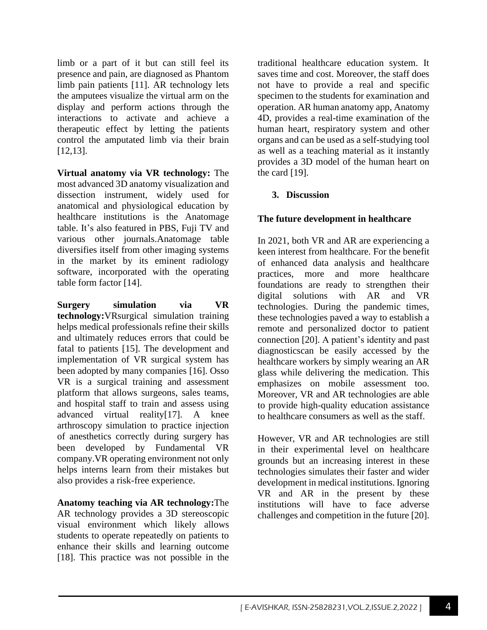limb or a part of it but can still feel its presence and pain, are diagnosed as Phantom limb pain patients [11]. AR technology lets the amputees visualize the virtual arm on the display and perform actions through the interactions to activate and achieve a therapeutic effect by letting the patients control the amputated limb via their brain [12,13].

**Virtual anatomy via VR technology:** The most advanced 3D anatomy visualization and dissection instrument, widely used for anatomical and physiological education by healthcare institutions is the Anatomage table. It's also featured in PBS, Fuji TV and various other journals.Anatomage table diversifies itself from other imaging systems in the market by its eminent radiology software, incorporated with the operating table form factor [14].

**Surgery simulation via VR technology:**VRsurgical simulation training helps medical professionals refine their skills and ultimately reduces errors that could be fatal to patients [15]. The development and implementation of VR surgical system has been adopted by many companies [16]. Osso VR is a surgical training and assessment platform that allows surgeons, sales teams, and hospital staff to train and assess using advanced virtual reality[17]. A knee arthroscopy simulation to practice injection of anesthetics correctly during surgery has been developed by Fundamental VR company.VR operating environment not only helps interns learn from their mistakes but also provides a risk-free experience.

**Anatomy teaching via AR technology:**The AR technology provides a 3D stereoscopic visual environment which likely allows students to operate repeatedly on patients to enhance their skills and learning outcome [18]. This practice was not possible in the traditional healthcare education system. It saves time and cost. Moreover, the staff does not have to provide a real and specific specimen to the students for examination and operation. AR human anatomy app, Anatomy 4D, provides a real-time examination of the human heart, respiratory system and other organs and can be used as a self-studying tool as well as a teaching material as it instantly provides a 3D model of the human heart on the card [19].

## **3. Discussion**

## **The future development in healthcare**

In 2021, both VR and AR are experiencing a keen interest from healthcare. For the benefit of enhanced data analysis and healthcare practices, more and more healthcare foundations are ready to strengthen their digital solutions with AR and VR technologies. During the pandemic times, these technologies paved a way to establish a remote and personalized doctor to patient connection [20]. A patient's identity and past diagnosticscan be easily accessed by the healthcare workers by simply wearing an AR glass while delivering the medication. This emphasizes on mobile assessment too. Moreover, VR and AR technologies are able to provide high-quality education assistance to healthcare consumers as well as the staff.

However, VR and AR technologies are still in their experimental level on healthcare grounds but an increasing interest in these technologies simulates their faster and wider development in medical institutions. Ignoring VR and AR in the present by these institutions will have to face adverse challenges and competition in the future [20].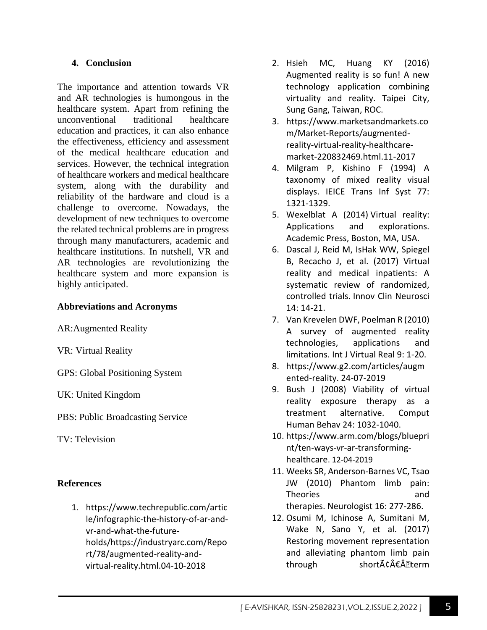## **4. Conclusion**

The importance and attention towards VR and AR technologies is humongous in the healthcare system. Apart from refining the unconventional traditional healthcare education and practices, it can also enhance the effectiveness, efficiency and assessment of the medical healthcare education and services. However, the technical integration of healthcare workers and medical healthcare system, along with the durability and reliability of the hardware and cloud is a challenge to overcome. Nowadays, the development of new techniques to overcome the related technical problems are in progress through many manufacturers, academic and healthcare institutions. In nutshell, VR and AR technologies are revolutionizing the healthcare system and more expansion is highly anticipated.

## **Abbreviations and Acronyms**

AR:Augmented Reality

VR: Virtual Reality

GPS: Global Positioning System

UK: United Kingdom

PBS: Public Broadcasting Service

TV: Television

### **References**

1. https://www.techrepublic.com/artic le/infographic-the-history-of-ar-andvr-and-what-the-futureholds/https://industryarc.com/Repo rt/78/augmented-reality-andvirtual-reality.html.04-10-2018

- 2. Hsieh MC, Huang KY (2016) Augmented reality is so fun! A new technology application combining virtuality and reality. Taipei City, Sung Gang, Taiwan, ROC.
- 3. https://www.marketsandmarkets.co m/Market-Reports/augmentedreality-virtual-reality-healthcaremarket-220832469.html.11-2017
- 4. Milgram P, Kishino F (1994) A taxonomy of mixed reality visual displays. IEICE Trans Inf Syst 77: 1321-1329.
- 5. Wexelblat A (2014) Virtual reality: Applications and explorations. Academic Press, Boston, MA, USA.
- 6. Dascal J, Reid M, IsHak WW, Spiegel B, Recacho J, et al. (2017) Virtual reality and medical inpatients: A systematic review of randomized, controlled trials. Innov Clin Neurosci 14: 14-21.
- 7. Van Krevelen DWF, Poelman R (2010) A survey of augmented reality technologies, applications and limitations. Int J Virtual Real 9: 1-20.
- 8. https://www.g2.com/articles/augm ented-reality. 24-07-2019
- 9. Bush J (2008) Viability of virtual reality exposure therapy as a treatment alternative. Comput Human Behav 24: 1032-1040.
- 10. https://www.arm.com/blogs/bluepri nt/ten-ways-vr-ar-transforminghealthcare. 12-04-2019
- 11. Weeks SR, Anderson-Barnes VC, Tsao JW (2010) Phantom limb pain: Theories and therapies. Neurologist 16: 277-286.
- 12. Osumi M, Ichinose A, Sumitani M, Wake N, Sano Y, et al. (2017) Restoring movement representation and alleviating phantom limb pain through shortâ€Â•term